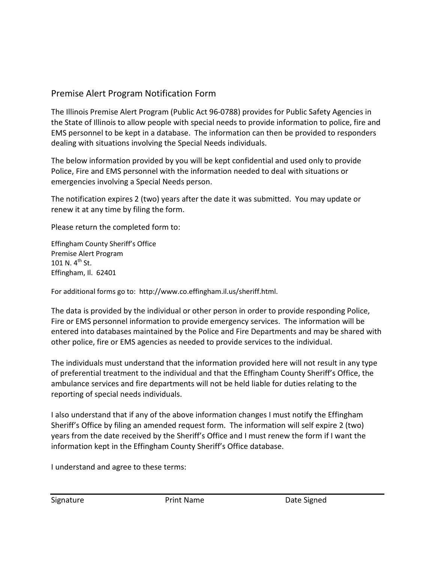## Premise Alert Program Notification Form

The Illinois Premise Alert Program (Public Act 96-0788) provides for Public Safety Agencies in the State of Illinois to allow people with special needs to provide information to police, fire and EMS personnel to be kept in a database. The information can then be provided to responders dealing with situations involving the Special Needs individuals.

The below information provided by you will be kept confidential and used only to provide Police, Fire and EMS personnel with the information needed to deal with situations or emergencies involving a Special Needs person.

The notification expires 2 (two) years after the date it was submitted. You may update or renew it at any time by filing the form.

Please return the completed form to:

Effingham County Sheriff's Office Premise Alert Program 101 N.  $4^{th}$  St. Effingham, Il. 62401

For additional forms go to: http://www.co.effingham.il.us/sheriff.html.

The data is provided by the individual or other person in order to provide responding Police, Fire or EMS personnel information to provide emergency services. The information will be entered into databases maintained by the Police and Fire Departments and may be shared with other police, fire or EMS agencies as needed to provide services to the individual.

The individuals must understand that the information provided here will not result in any type of preferential treatment to the individual and that the Effingham County Sheriff's Office, the ambulance services and fire departments will not be held liable for duties relating to the reporting of special needs individuals.

I also understand that if any of the above information changes I must notify the Effingham Sheriff's Office by filing an amended request form. The information will self expire 2 (two) years from the date received by the Sheriff's Office and I must renew the form if I want the information kept in the Effingham County Sheriff's Office database.

I understand and agree to these terms: